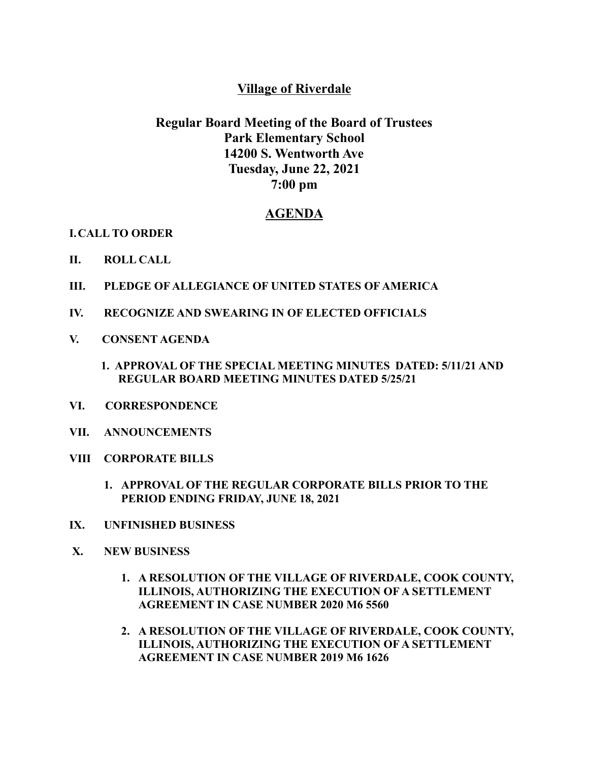## **Village of Riverdale**

## **Regular Board Meeting of the Board of Trustees Park Elementary School 14200 S. Wentworth Ave Tuesday, June 22, 2021 7:00 pm**

## **AGENDA**

**I.CALL TO ORDER**

- **II. ROLL CALL**
- **III. PLEDGE OF ALLEGIANCE OF UNITED STATES OF AMERICA**
- **IV. RECOGNIZE AND SWEARING IN OF ELECTED OFFICIALS**
- **V. CONSENT AGENDA**
	- **1. APPROVAL OF THE SPECIAL MEETING MINUTES DATED: 5/11/21 AND REGULAR BOARD MEETING MINUTES DATED 5/25/21**
- **VI. CORRESPONDENCE**
- **VII. ANNOUNCEMENTS**
- **VIII CORPORATE BILLS**
	- **1. APPROVAL OF THE REGULAR CORPORATE BILLS PRIOR TO THE PERIOD ENDING FRIDAY, JUNE 18, 2021**
- **IX. UNFINISHED BUSINESS**
- **X. NEW BUSINESS**
	- **1. A RESOLUTION OF THE VILLAGE OF RIVERDALE, COOK COUNTY, ILLINOIS, AUTHORIZING THE EXECUTION OF A SETTLEMENT AGREEMENT IN CASE NUMBER 2020 M6 5560**
	- **2. A RESOLUTION OF THE VILLAGE OF RIVERDALE, COOK COUNTY, ILLINOIS, AUTHORIZING THE EXECUTION OF A SETTLEMENT AGREEMENT IN CASE NUMBER 2019 M6 1626**